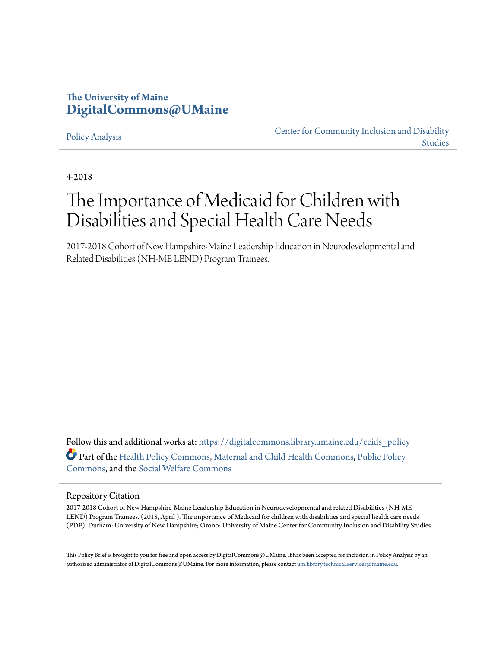# **The University of Maine [DigitalCommons@UMaine](https://digitalcommons.library.umaine.edu?utm_source=digitalcommons.library.umaine.edu%2Fccids_policy%2F6&utm_medium=PDF&utm_campaign=PDFCoverPages)**

#### [Policy Analysis](https://digitalcommons.library.umaine.edu/ccids_policy?utm_source=digitalcommons.library.umaine.edu%2Fccids_policy%2F6&utm_medium=PDF&utm_campaign=PDFCoverPages)

[Center for Community Inclusion and Disability](https://digitalcommons.library.umaine.edu/ccids?utm_source=digitalcommons.library.umaine.edu%2Fccids_policy%2F6&utm_medium=PDF&utm_campaign=PDFCoverPages) [Studies](https://digitalcommons.library.umaine.edu/ccids?utm_source=digitalcommons.library.umaine.edu%2Fccids_policy%2F6&utm_medium=PDF&utm_campaign=PDFCoverPages)

4-2018

# The Importance of Medicaid for Children with Disabilities and Special Health Care Needs

2017-2018 Cohort of New Hampshire-Maine Leadership Education in Neurodevelopmental and Related Disabilities (NH-ME LEND) Program Trainees.

Follow this and additional works at: [https://digitalcommons.library.umaine.edu/ccids\\_policy](https://digitalcommons.library.umaine.edu/ccids_policy?utm_source=digitalcommons.library.umaine.edu%2Fccids_policy%2F6&utm_medium=PDF&utm_campaign=PDFCoverPages) Part of the [Health Policy Commons,](http://network.bepress.com/hgg/discipline/395?utm_source=digitalcommons.library.umaine.edu%2Fccids_policy%2F6&utm_medium=PDF&utm_campaign=PDFCoverPages) [Maternal and Child Health Commons](http://network.bepress.com/hgg/discipline/745?utm_source=digitalcommons.library.umaine.edu%2Fccids_policy%2F6&utm_medium=PDF&utm_campaign=PDFCoverPages), [Public Policy](http://network.bepress.com/hgg/discipline/400?utm_source=digitalcommons.library.umaine.edu%2Fccids_policy%2F6&utm_medium=PDF&utm_campaign=PDFCoverPages) [Commons,](http://network.bepress.com/hgg/discipline/400?utm_source=digitalcommons.library.umaine.edu%2Fccids_policy%2F6&utm_medium=PDF&utm_campaign=PDFCoverPages) and the [Social Welfare Commons](http://network.bepress.com/hgg/discipline/401?utm_source=digitalcommons.library.umaine.edu%2Fccids_policy%2F6&utm_medium=PDF&utm_campaign=PDFCoverPages)

#### Repository Citation

2017-2018 Cohort of New Hampshire-Maine Leadership Education in Neurodevelopmental and related Disabilities (NH-ME LEND) Program Trainees. (2018, April ). The importance of Medicaid for children with disabilities and special health care needs (PDF). Durham: University of New Hampshire; Orono: University of Maine Center for Community Inclusion and Disability Studies.

This Policy Brief is brought to you for free and open access by DigitalCommons@UMaine. It has been accepted for inclusion in Policy Analysis by an authorized administrator of DigitalCommons@UMaine. For more information, please contact [um.library.technical.services@maine.edu.](mailto:um.library.technical.services@maine.edu)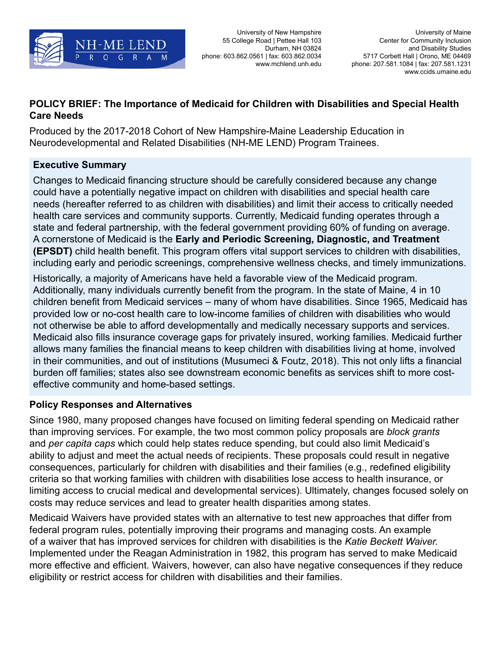

University of New Hampshire 55 College Road | Pettee Hall 103 Durham, NH 03824 phone: 603.862.0561 | fax: 603.862.0034 www.mchlend.unh.edu

## **POLICY BRIEF: The Importance of Medicaid for Children with Disabilities and Special Health Care Needs**

Produced by the 2017-2018 Cohort of New Hampshire-Maine Leadership Education in Neurodevelopmental and Related Disabilities (NH-ME LEND) Program Trainees.

## **Executive Summary**

Changes to Medicaid financing structure should be carefully considered because any change could have a potentially negative impact on children with disabilities and special health care needs (hereafter referred to as children with disabilities) and limit their access to critically needed health care services and community supports. Currently, Medicaid funding operates through a state and federal partnership, with the federal government providing 60% of funding on average. A cornerstone of Medicaid is the **Early and Periodic Screening, Diagnostic, and Treatment (EPSDT)** child health benefit. This program offers vital support services to children with disabilities, including early and periodic screenings, comprehensive wellness checks, and timely immunizations.

Historically, a majority of Americans have held a favorable view of the Medicaid program. Additionally, many individuals currently benefit from the program. In the state of Maine, 4 in 10 children benefit from Medicaid services – many of whom have disabilities. Since 1965, Medicaid has provided low or no-cost health care to low-income families of children with disabilities who would not otherwise be able to afford developmentally and medically necessary supports and services. Medicaid also fills insurance coverage gaps for privately insured, working families. Medicaid further allows many families the financial means to keep children with disabilities living at home, involved in their communities, and out of institutions (Musumeci & Foutz, 2018). This not only lifts a financial burden off families; states also see downstream economic benefits as services shift to more costeffective community and home-based settings.

### **Policy Responses and Alternatives**

Since 1980, many proposed changes have focused on limiting federal spending on Medicaid rather than improving services. For example, the two most common policy proposals are *block grants*  and *per capita caps* which could help states reduce spending, but could also limit Medicaid's ability to adjust and meet the actual needs of recipients. These proposals could result in negative consequences, particularly for children with disabilities and their families (e.g., redefined eligibility criteria so that working families with children with disabilities lose access to health insurance, or limiting access to crucial medical and developmental services). Ultimately, changes focused solely on costs may reduce services and lead to greater health disparities among states.

Medicaid Waivers have provided states with an alternative to test new approaches that differ from federal program rules, potentially improving their programs and managing costs. An example of a waiver that has improved services for children with disabilities is the *Katie Beckett Waiver.*  Implemented under the Reagan Administration in 1982, this program has served to make Medicaid more effective and efficient. Waivers, however, can also have negative consequences if they reduce eligibility or restrict access for children with disabilities and their families.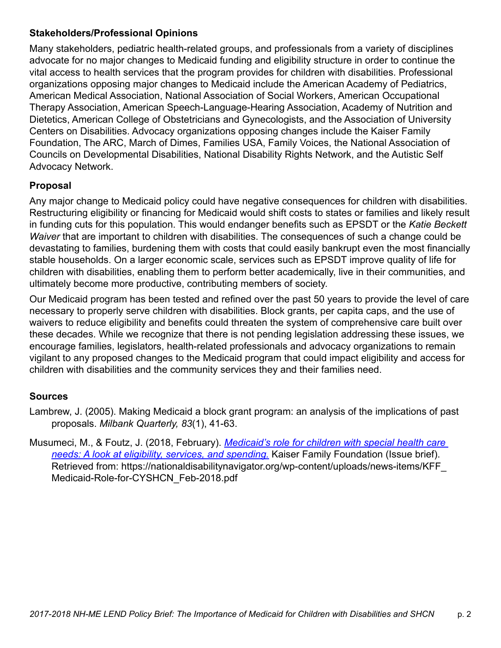#### **Stakeholders/Professional Opinions**

Many stakeholders, pediatric health-related groups, and professionals from a variety of disciplines advocate for no major changes to Medicaid funding and eligibility structure in order to continue the vital access to health services that the program provides for children with disabilities. Professional organizations opposing major changes to Medicaid include the American Academy of Pediatrics, American Medical Association, National Association of Social Workers, American Occupational Therapy Association, American Speech-Language-Hearing Association, Academy of Nutrition and Dietetics, American College of Obstetricians and Gynecologists, and the Association of University Centers on Disabilities. Advocacy organizations opposing changes include the Kaiser Family Foundation, The ARC, March of Dimes, Families USA, Family Voices, the National Association of Councils on Developmental Disabilities, National Disability Rights Network, and the Autistic Self Advocacy Network.

#### **Proposal**

Any major change to Medicaid policy could have negative consequences for children with disabilities. Restructuring eligibility or financing for Medicaid would shift costs to states or families and likely result in funding cuts for this population. This would endanger benefits such as EPSDT or the *Katie Beckett Waiver* that are important to children with disabilities. The consequences of such a change could be devastating to families, burdening them with costs that could easily bankrupt even the most financially stable households. On a larger economic scale, services such as EPSDT improve quality of life for children with disabilities, enabling them to perform better academically, live in their communities, and ultimately become more productive, contributing members of society.

Our Medicaid program has been tested and refined over the past 50 years to provide the level of care necessary to properly serve children with disabilities. Block grants, per capita caps, and the use of waivers to reduce eligibility and benefits could threaten the system of comprehensive care built over these decades. While we recognize that there is not pending legislation addressing these issues, we encourage families, legislators, health-related professionals and advocacy organizations to remain vigilant to any proposed changes to the Medicaid program that could impact eligibility and access for children with disabilities and the community services they and their families need.

#### **Sources**

- Lambrew, J. (2005). Making Medicaid a block grant program: an analysis of the implications of past proposals. *Milbank Quarterly, 83*(1), 41-63.
- Musumeci, M., & Foutz, J. (2018, February). *[Medicaid's role for children with special health care](https://nationaldisabilitynavigator.org/wp-content/uploads/news-items/KFF_Medicaid-Role-for-CYSHCN_Feb-2018.pdf)  [needs: A look at eligibility, services, and spending.](https://nationaldisabilitynavigator.org/wp-content/uploads/news-items/KFF_Medicaid-Role-for-CYSHCN_Feb-2018.pdf)* Kaiser Family Foundation (Issue brief). Retrieved from: https://nationaldisabilitynavigator.org/wp-content/uploads/news-items/KFF\_ Medicaid-Role-for-CYSHCN\_Feb-2018.pdf